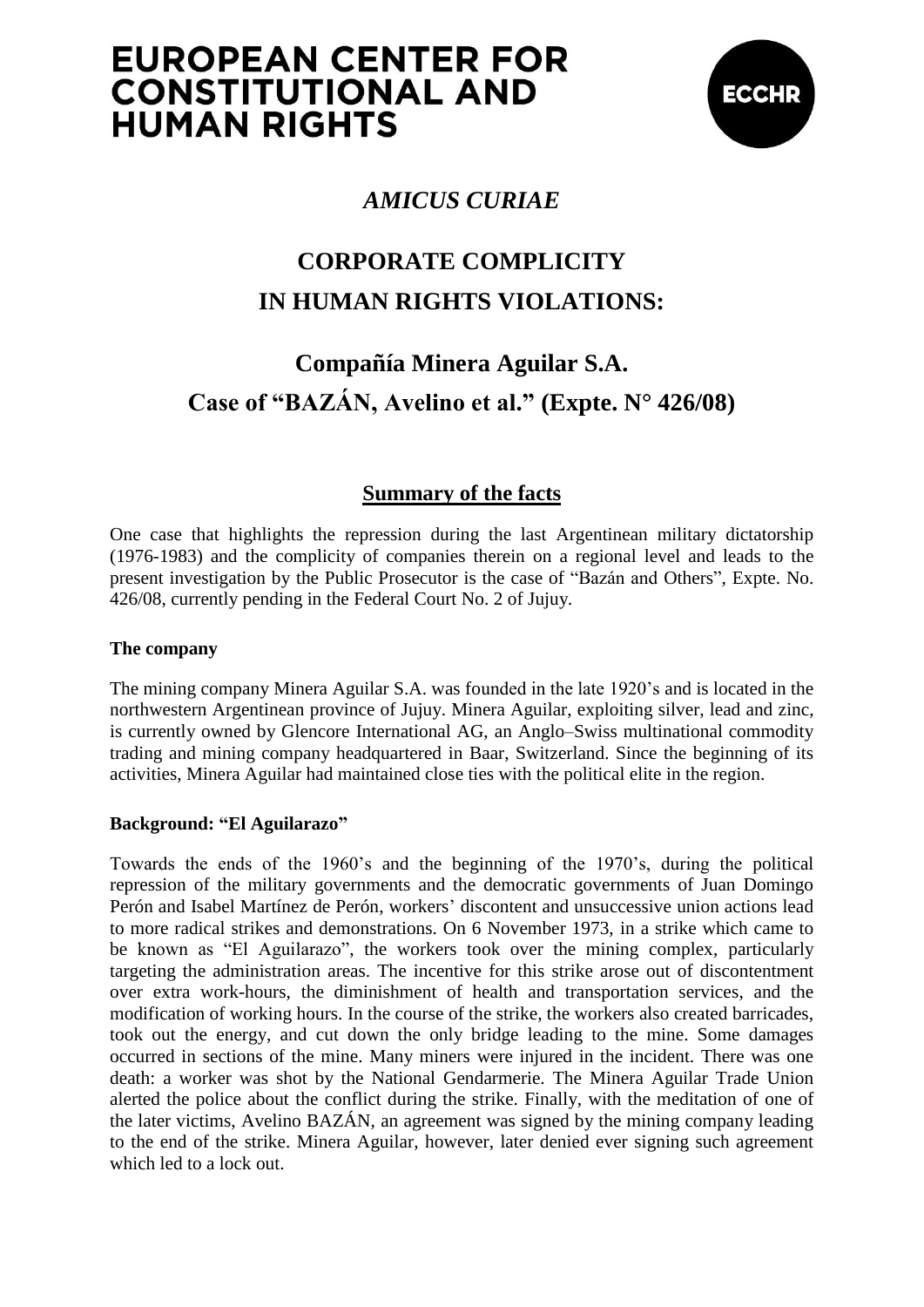# **EUROPEAN CENTER FOR CONSTITUTIONAL AND HUMAN RIGHTS**



## *AMICUS CURIAE*

## **CORPORATE COMPLICITY IN HUMAN RIGHTS VIOLATIONS:**

## **Compañía Minera Aguilar S.A. Case of "BAZÁN, Avelino et al." (Expte. N° 426/08)**

## **Summary of the facts**

One case that highlights the repression during the last Argentinean military dictatorship (1976-1983) and the complicity of companies therein on a regional level and leads to the present investigation by the Public Prosecutor is the case of "Bazán and Others", Expte. No. 426/08, currently pending in the Federal Court No. 2 of Jujuy.

### **The company**

The mining company Minera Aguilar S.A. was founded in the late 1920's and is located in the northwestern Argentinean province of Jujuy. Minera Aguilar, exploiting silver, lead and zinc, is currently owned by Glencore International AG, an Anglo–Swiss multinational commodity trading and mining company headquartered in Baar, Switzerland. Since the beginning of its activities, Minera Aguilar had maintained close ties with the political elite in the region.

### **Background: "El Aguilarazo"**

Towards the ends of the 1960's and the beginning of the 1970's, during the political repression of the military governments and the democratic governments of Juan Domingo Perón and Isabel Martínez de Perón, workers' discontent and unsuccessive union actions lead to more radical strikes and demonstrations. On 6 November 1973, in a strike which came to be known as "El Aguilarazo", the workers took over the mining complex, particularly targeting the administration areas. The incentive for this strike arose out of discontentment over extra work-hours, the diminishment of health and transportation services, and the modification of working hours. In the course of the strike, the workers also created barricades, took out the energy, and cut down the only bridge leading to the mine. Some damages occurred in sections of the mine. Many miners were injured in the incident. There was one death: a worker was shot by the National Gendarmerie. The Minera Aguilar Trade Union alerted the police about the conflict during the strike. Finally, with the meditation of one of the later victims, Avelino BAZÁN, an agreement was signed by the mining company leading to the end of the strike. Minera Aguilar, however, later denied ever signing such agreement which led to a lock out.